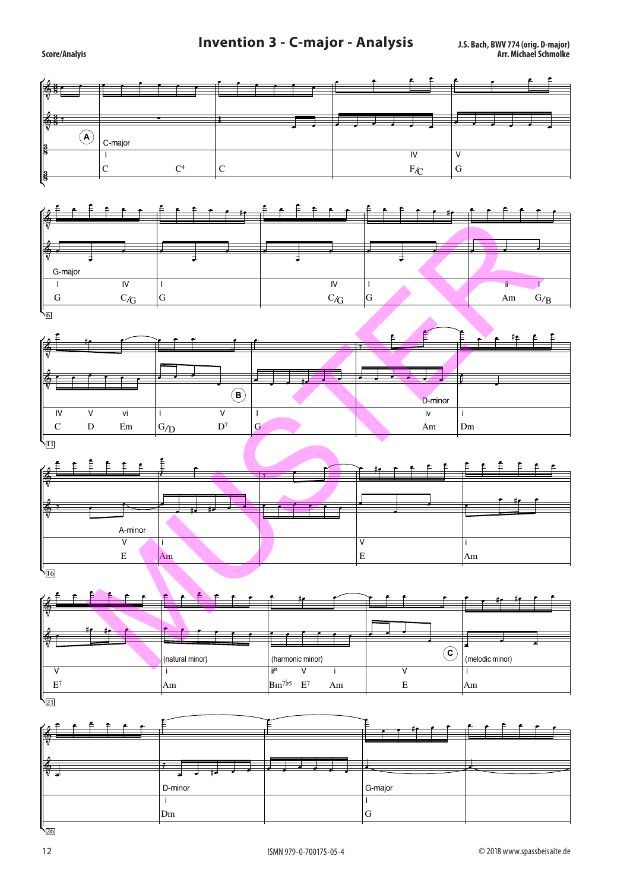## **Invention 3 - C-major - Analysis** J.S. Bach, BWV 774 (orig. D-major)<br>Arr. Michael Schmolke



G-major

i III din kacamatan ing Kabupatèn Ing Kabupatèn Ing Kabupatèn Ing Kabupatèn Ing Kabupatèn Ing Kabupatèn Ing Ka

Dm G

D-minor

Score/Analyis